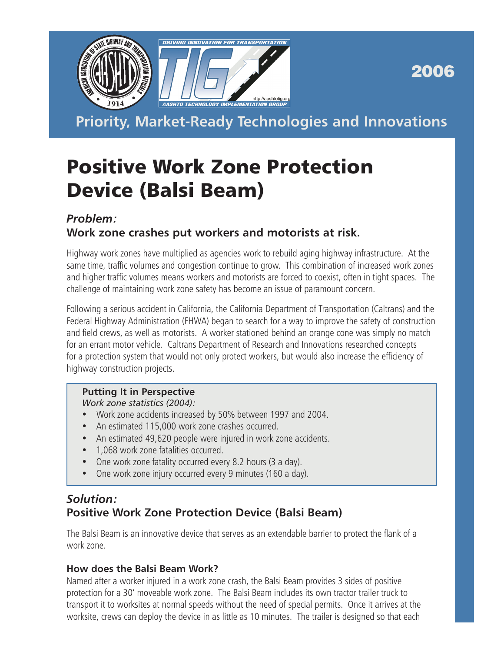

2006

**Priority, Market-Ready Technologies and Innovations**

# Positive Work Zone Protection Device (Balsi Beam)

### *Problem:* **Work zone crashes put workers and motorists at risk.**

Highway work zones have multiplied as agencies work to rebuild aging highway infrastructure. At the same time, traffic volumes and congestion continue to grow. This combination of increased work zones and higher traffic volumes means workers and motorists are forced to coexist, often in tight spaces. The challenge of maintaining work zone safety has become an issue of paramount concern.

Following a serious accident in California, the California Department of Transportation (Caltrans) and the Federal Highway Administration (FHWA) began to search for a way to improve the safety of construction and field crews, as well as motorists. A worker stationed behind an orange cone was simply no match for an errant motor vehicle. Caltrans Department of Research and Innovations researched concepts for a protection system that would not only protect workers, but would also increase the efficiency of highway construction projects.

#### **Putting It in Perspective**

*Work zone statistics (2004):*

- Work zone accidents increased by 50% between 1997 and 2004.
- An estimated 115,000 work zone crashes occurred.
- An estimated 49,620 people were injured in work zone accidents.
- 1,068 work zone fatalities occurred.
- One work zone fatality occurred every 8.2 hours (3 a day).
- One work zone injury occurred every 9 minutes (160 a day).

## *Solution:* **Positive Work Zone Protection Device (Balsi Beam)**

The Balsi Beam is an innovative device that serves as an extendable barrier to protect the flank of a work zone.

#### **How does the Balsi Beam Work?**

Named after a worker injured in a work zone crash, the Balsi Beam provides 3 sides of positive protection for a 30' moveable work zone. The Balsi Beam includes its own tractor trailer truck to transport it to worksites at normal speeds without the need of special permits. Once it arrives at the worksite, crews can deploy the device in as little as 10 minutes. The trailer is designed so that each